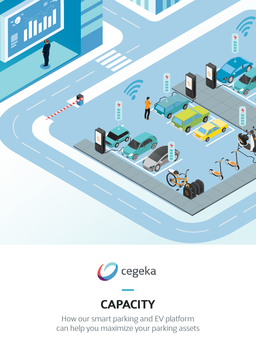





How our smart parking and EV platform can help you maximize your parking assets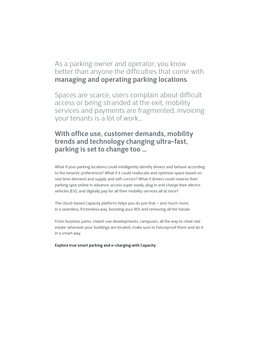As a parking owner and operator, you know better than anyone the difficulties that come with **managing and operating parking locations**.

Spaces are scarce, users complain about difficult access or being stranded at the exit, mobility services and payments are fragmented, invoicing your tenants is a lot of work…

### **With office use, customer demands, mobility trends and technology changing ultra-fast, parking is set to change too …**

What if your parking locations could intelligently identify drivers and behave according to the tenants' preferences? What if it could reallocate and optimize space based on real time demand and supply and self-correct? What if drivers could reserve their parking spot online in advance, access super easily, plug in and charge their electric vehicles (EV), and digitally pay for all their mobility services all at once?

The cloud-based Capacity platform helps you do just that – and much more, in a seamless, frictionless way, boosting your ROI and removing all the hassle.

From business parks, mixed-use developments, campuses, all the way to retail real estate: wherever your buildings are located, make sure to futureproof them and do it in a smart way.

**Explore true smart parking and e-charging with Capacity**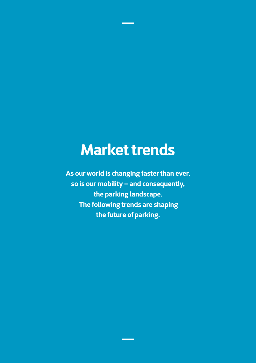# **Market trends**

**As our world is changing faster than ever, so is our mobility – and consequently, the parking landscape. The following trends are shaping the future of parking.**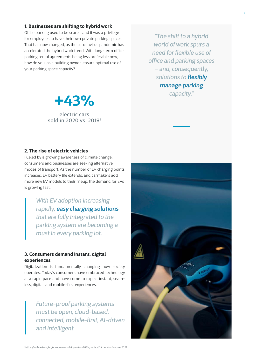#### **1. Businesses are shifting to hybrid work**

Office parking used to be scarce, and it was a privilege for employees to have their own private parking spaces. That has now changed, as the coronavirus pandemic has accelerated the hybrid work trend. With long-term office parking rental agreements being less preferable now, how do you, as a building owner, ensure optimal use of your parking space capacity?

*"The shift to a hybrid world of work spurs a need for flexible use of office and parking spaces – and, consequently, solutions to flexibly manage parking capacity."* 



electric cars sold in 2020 vs. 20191

#### **2. The rise of electric vehicles**

Fueled by a growing awareness of climate change, consumers and businesses are seeking alternative modes of transport. As the number of EV charging points increases, EV battery life extends, and carmakers add more new EV models to their lineup, the demand for EVs is growing fast.

> *With EV adoption increasing rapidly, easy charging solutions that are fully integrated to the parking system are becoming a must in every parking lot.*

#### **3. Consumers demand instant, digital experiences**

Digitalization is fundamentally changing how society operates. Today's consumers have embraced technology at a rapid pace and have come to expect instant, seamless, digital, and mobile-first experiences.

> *Future-proof parking systems must be open, cloud-based, connected, mobile-first, AI-driven and intelligent.*

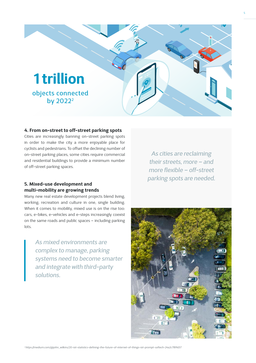

#### **4. From on-street to off-street parking spots**

Cities are increasingly banning on-street parking spots in order to make the city a more enjoyable place for cyclists and pedestrians. To offset the declining number of on-street parking places, some cities require commercial and residential buildings to provide a minimum number of off-street parking spaces.

#### **5. Mixed-use development and multi-mobility are growing trends**

Many new real estate development projects blend living, working, recreation and culture in one, single building. When it comes to mobility, mixed use is on the rise too: cars, e-bikes, e-vehicles and e-steps increasingly coexist on the same roads and public spaces – including parking lots.

> *As mixed environments are complex to manage, parking systems need to become smarter and integrate with third-party solutions.*

*As cities are reclaiming their streets, more – and more flexible – off-street parking spots are needed.*

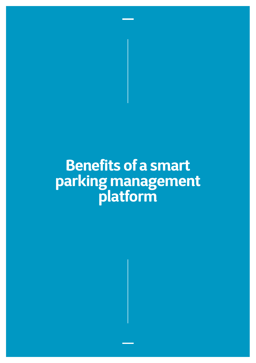# **Benefits of a smart parking management platform**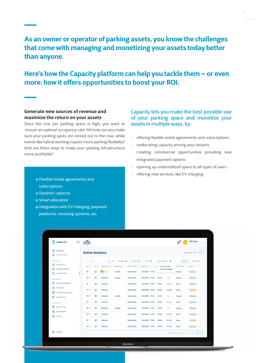### **As an owner or operator of parking assets, you know the challenges that come with managing and monetizing your assets today better than anyone.**

### **Here's how the Capacity platform can help you tackle them – or even more: how it offers opportunities to boost your ROI.**

#### **Generate new sources of revenue and maximize the return on your assets**

Since the cost per parking space is high, you want to ensure an optimal occupancy rate. Yet how can you make sure your parking spots are rented out to the max, while trends like hybrid working require more parking flexibility? And are there ways to make your parking infrastructure more profitable?

- Flexible rental agreements and subscriptions
- **→ Dynamic capacity**
- **→ Smart allocation**
- → Integration with EV charging, payment platforms, invoicing systems, etc.

#### Capacity lets you make the best possible use of your parking space and monetize your assets in multiple ways, by:

- offering flexible rental agreements and subscriptions
- reallocating capacity among your tenants
- creating commercial opportunities providing new integrated payment options
- opening up underutilized space to all types of users
- offering new services, like EV charging

|                    | capacity                            | corda<br>campus |                             |    |                                                       |               |                       |                    |                                   |        |                            | <b>John Doe</b><br>MOBILITY FILM | $\omega$ |  |
|--------------------|-------------------------------------|-----------------|-----------------------------|----|-------------------------------------------------------|---------------|-----------------------|--------------------|-----------------------------------|--------|----------------------------|----------------------------------|----------|--|
| $\Omega$<br>$\Box$ | Dashboard<br>Session income         |                 | <b>Active sessions</b>      |    |                                                       |               |                       |                    |                                   |        | ø<br>Last refresh: 10:21   |                                  |          |  |
| ASSISTANCE         |                                     | Q Search        |                             |    | U Tenant: All U<br>Type: All<br>< All > Location: All |               |                       |                    | Action needed: All A              |        | All fitors<br>Clear fiters |                                  |          |  |
| $\alpha$           | Driver lookup<br>Hardware controls  |                 | AD.<br>Type :               |    | Registered as                                         | Organization: | Parking location [41] | Start Date : ::    | Action needed<br>No action needed |        | To be paid by              | Status :                         |          |  |
| ٣<br>$\odot$       | Active sessions                     |                 | p)                          |    | ο<br>Visitor                                          | Cegeka        | Main parking          | 22/03/2021 - 10:00 |                                   |        | Cegeka                     | Running >                        |          |  |
|                    | MANAGEMENT                          |                 | P.                          |    | Employee                                              | Cegeka        | Main parking          | 22/03/2021 - 10:00 | 3h15m                             | Free   | Cegeka                     | $P$ unning $\rightarrow$         |          |  |
| $\triangle$        | Access management                   |                 | P                           |    | Unknown.                                              | a,            | Main parking          | 22/03/2021 - 10:00 | 3h15m                             | €11.55 | <b>Driver</b>              | Running $\rightarrow$            |          |  |
| a                  | Driver pool                         |                 | P.L                         | 量  | Unknown.                                              | $\sim$        | Main parking          | 22/03/2021 - 10:00 | 3h15m                             | €11.55 | Driver                     | Delayed $\rightarrow$            |          |  |
| G<br>œ             | Capacity management<br>Reservations |                 | <b>P.S.</b>                 | Ð  | Employee                                              | Cegeka        | Main parking          | 22/03/2021 - 10:00 | 3h15m                             | Free:  | Cegeka                     | Running -                        |          |  |
|                    | <b>MANAGEMENT</b>                   |                 | (P)                         | 磁  | Unknown                                               |               | Main parking          | 22/03/2021 - 10:00 | 3h15m                             | 611.55 | Driver                     | Running +                        |          |  |
| ®                  | Mobility Hubs                       |                 | P                           | ₩  | Employee                                              | Cegeka        | Main parking          | 22/03/2021 - 10:00 | 3h15m                             | Free:  | Cegeka                     | Running -                        |          |  |
| æ                  | My customers                        |                 | P. S.                       | 益  | Unknown                                               | $\sim$        | Main parking          | 22/03/2021 - 10:00 | 3h15m                             | €11.55 | Driver                     | Running +                        |          |  |
|                    | Pricing                             |                 | $\left  \mathbf{p} \right $ |    | <b>Unknown</b>                                        | in.           | Main parking          | 22/03/2021 - 10:00 | 3h15m                             | €11.55 | Driver                     | Detayed $\rightarrow$            |          |  |
|                    |                                     |                 | P. L                        | G) | Unknown.                                              | $\sim$        | Main parking          | 22/03/2021 - 10:00 | 3h15m                             | €11.55 | Driver                     | Running >                        |          |  |
|                    | Settings                            |                 |                             |    |                                                       |               |                       |                    |                                   |        | Rows per page: 10 -        | $1-10$ of $3$                    | $\Theta$ |  |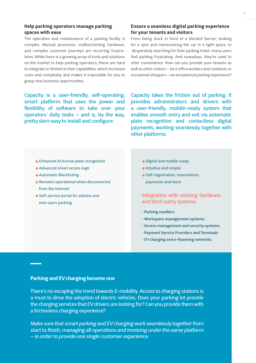#### **Help parking operators manage parking spaces with ease**

The operation and maintenance of a parking facility is complex. Manual processes, malfunctioning hardware, and complex customer journeys are recurring frustrations. While there is a growing array of tools and solutions on the market to help parking operators, these are hard to integrate or limited in their capabilities, which increases costs and complexity and makes it impossible for you to grasp new business opportunities.

Capacity is a user-friendly, self-operating, smart platform that uses the power and flexibility of software to take over your operators' daily tasks – and is, by the way, pretty darn easy to install and configure.

#### **Ensure a seamless digital parking experience for your tenants and visitors**

From being stuck in front of a blocked barrier, looking for a spot and maneuvering the car in a tight space, to desperately searching for their parking ticket: many users find parking frustrating. And nowadays, they're used to utter convenience. How can you provide your tenants as well as other visitors – be it office workers and residents or occasional shoppers – an exceptional parking experience?

Capacity takes the friction out of parking. It provides administrators and drivers with a user-friendly, mobile-ready system that enables smooth entry and exit via automatic plate recognition and contactless digital payments, working seamlessly together with other platforms.

- Enhanced AI license plate recognition
- **→ Advanced smart access logic**
- Automatic Blacklisting
- Remains operational when disconnected from the internet
- → Self-service portal for admins and end-users parking
- → Digital and mobile ready
- $\rightarrow$  Intuitive and simple
- → Self-registration, reservations, payments and more

#### Integration with existing hardware and third-party systems:

- **Parking resellers**
- **Workspace management systems**
- **Access management and security systems**
- **Payment Service Providers and Terminals**
- **EV charging and e-Roaming networks**

#### **Parking and EV charging become one**

There's no escaping the trend towards E-mobility. Access to charging stations is a must to drive the adoption of electric vehicles. Does your parking lot provide the charging services that EV drivers are looking for? Can you provide them with a frictionless charging experience?

*Make sure that smart parking and EV charging work seamlessly together from start to finish, managing all operations and invoicing under the same platform – in order to provide one single customer experience.*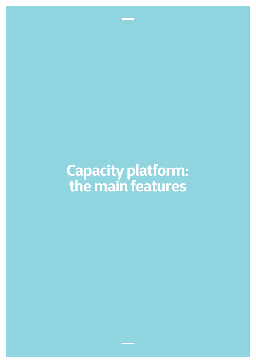# **Capacity platform: the main features**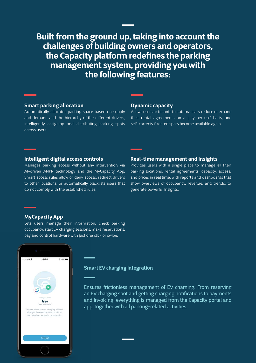**Built from the ground up, taking into account the challenges of building owners and operators, the Capacity platform redefines the parking management system, providing you with the following features:** 

#### **Smart parking allocation**

Automatically allocates parking space based on supply and demand and the hierarchy of the different drivers, intelligently assigning and distributing parking spots across users.

#### **Dynamic capacity**

Allows users or tenants to automatically reduce or expand their rental agreements on a 'pay-per-use' basis, and self-corrects if rented spots become available again.

#### **Intelligent digital access controls**

Manages parking access without any intervention via AI-driven ANPR technology and the MyCapacity App. Smart access rules allow or deny access, redirect drivers to other locations, or automatically blacklists users that do not comply with the established rules.

#### **Real-time management and insights**

Provides users with a single place to manage all their parking locations, rental agreements, capacity, access, and prices in real time, with reports and dashboards that show overviews of occupancy, revenue, and trends, to generate powerful insights.

#### **MyCapacity App**

Lets users manage their information, check parking occupancy, start EV charging sessions, make reservations, pay and control hardware with just one click or swipe.



#### **Smart EV charging integration**

Ensures frictionless management of EV charging. From reserving an EV charging spot and getting charging notifications to payments and invoicing: everything is managed from the Capacity portal and app, together with all parking-related activities.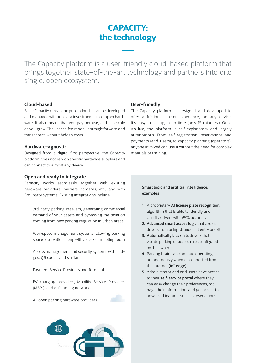## **CAPACITY: the technology**

The Capacity platform is a user-friendly cloud-based platform that brings together state-of-the-art technology and partners into one single, open ecosystem.

#### **Cloud-based**

Since Capacity runs in the public cloud, it can be developed and managed without extra investments in complex hardware. It also means that you pay per use, and can scale as you grow. The license fee model is straightforward and transparent, without hidden costs.

#### **Hardware-agnostic**

Designed from a digital-first perspective, the Capacity platform does not rely on specific hardware suppliers and can connect to almost any device.

#### **Open and ready to integrate**

Capacity works seamlessly together with existing hardware providers (barriers, cameras, etc.) and with 3rd-party systems. Existing integrations include:

- 3rd party parking resellers, generating commercial demand of your assets and bypassing the taxation coming from new parking regulation in urban areas
- Workspace management systems, allowing parking space reservation along with a desk or meeting room
- Access management and security systems with badges, QR codes, and similar
- Payment Service Providers and Terminals
- EV charging providers, Mobility Service Providers (MSPs), and e-Roaming networks
- All open parking hardware providers



#### **User-friendly**

The Capacity platform is designed and developed to offer a frictionless user experience, on any device. It's easy to set up, in no time (only 15 minutes!). Once it's live, the platform is self-explanatory and largely autonomous. From self-registration, reservations and payments (end-users), to capacity planning (operators): anyone involved can use it without the need for complex manuals or training.

#### **Smart logic and artificial intelligence: examples**

- **1.** A proprietary **AI license plate recognition**  algorithm that is able to identify and classify drivers with 99% accuracy
- **2. Advanced smart access logic** that avoids drivers from being stranded at entry or exit
- **3. Automatically blacklists** drivers that violate parking or access rules configured by the owner
- **4.** Parking brain can continue operating autonomously when disconnected from the internet (**IoT edge**)
- **5.** Administrator and end users have access to their **self-service portal** where they can easy change their preferences, manage their information, and get access to advanced features such as reservations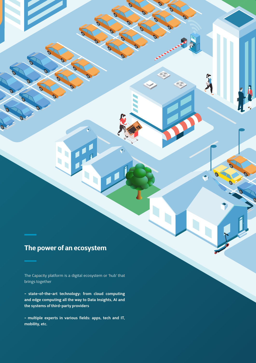## **The power of an ecosystem**

 $\overline{\mathcal{O}}$ 

The Capacity platform is a digital ecosystem or 'hub' that brings together

12

Q

Ò

 $\blacklozenge$ 

**- state-of-the-art technology: from cloud computing and edge computing all the way to Data Insights, AI and the systems of third-party providers**

**- multiple experts in various fields: apps, tech and IT, mobility, etc.**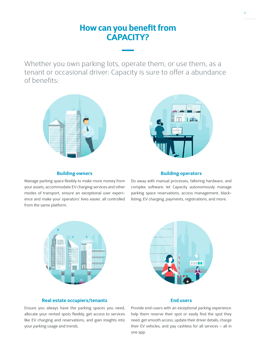## **How can you benefit from CAPACITY?**

Whether you own parking lots, operate them, or use them, as a tenant or occasional driver: Capacity is sure to offer a abundance of benefits:





#### **Building owners**

Manage parking space flexibly to make more money from your assets, accommodate EV charging services and other modes of transport, ensure an exceptional user experience and make your operators' lives easier, all controlled from the same platform.

#### **Building operators**

Do away with manual processes, faltering hardware, and complex software: let Capacity autonomously manage parking space reservations, access management, blacklisting, EV charging, payments, registrations, and more.





#### **Real estate occupiers/tenants**

Ensure you always have the parking spaces you need, allocate your rented spots flexibly, get access to services like EV charging and reservations, and gain insights into your parking usage and trends.

#### **End users**

Provide end-users with an exceptional parking experience: help them reserve their spot or easily find the spot they need, get smooth access, update their driver details, charge their EV vehicles, and pay cashless for all services – all in one app.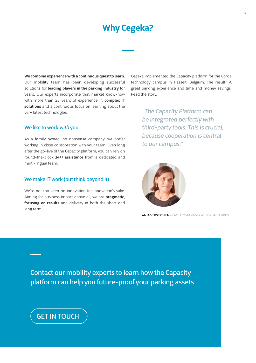## **Why Cegeka?**

**We combine experience with a continuous quest to learn.** Our mobility team has been developing successful solutions for **leading players in the parking industry** for years. Our experts incorporate that market know-how with more than 25 years of experience in **complex IT solutions** and a continuous focus on learning about the very latest technologies.

#### We like to work *with* you

As a family-owned, no-nonsense company, we prefer working in close collaboration with your team. Even long after the go-live of the Capacity platform, you can rely on round-the-clock **24/7 assistance** from a dedicated and multi-lingual team.

#### We make IT work (but think beyond it)

We're not too keen on innovation for innovation's sake. Aiming for business impact above all, we are **pragmatic, focusing on results** and delivery in both the short and long term.

Cegeka implemented the Capacity platform for the Corda technology campus in Hasselt, Belgium. The result? A great parking experience and time and money savings. Read the story.

> *"The Capacity Platform can be integrated perfectly with third-party tools. This is crucial, because cooperation is central to our campus."*



ANJA VERSTREPEN - FACILITY MANAGER AT CORDA CAMPUS

Contact our mobility experts to learn how the Capacity platform can help you future-proof your parking assets